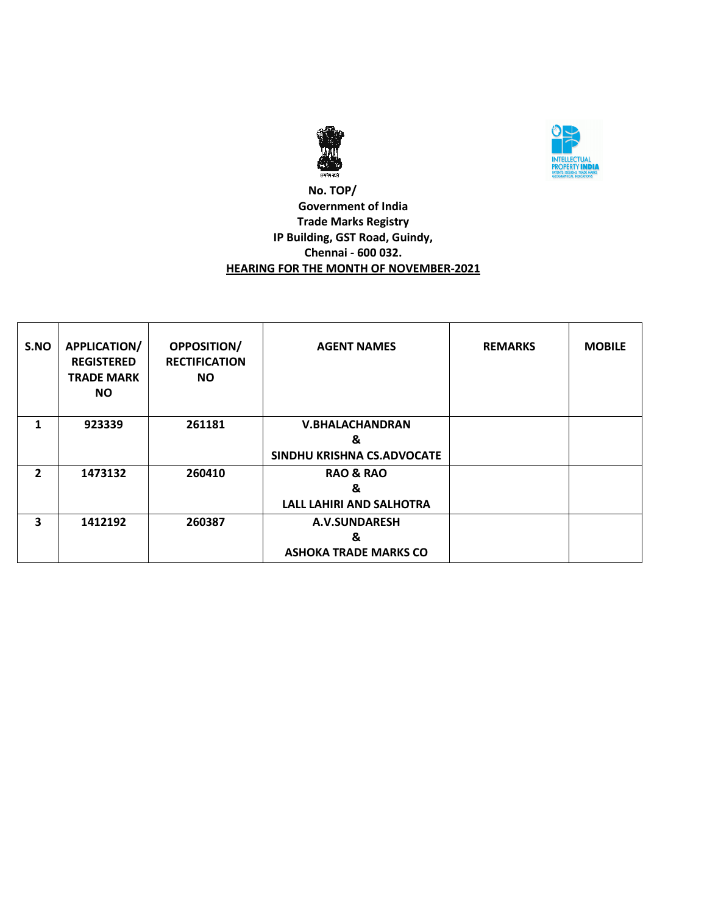



#### **No. TOP/ Government of India Trade Marks Registry IP Building, GST Road, Guindy, Chennai - 600 032. HEARING FOR THE MONTH OF NOVEMBER-2021**

| S.NO           | <b>APPLICATION/</b><br><b>REGISTERED</b><br><b>TRADE MARK</b><br>NO. | OPPOSITION/<br><b>RECTIFICATION</b><br><b>NO</b> | <b>AGENT NAMES</b>              | <b>REMARKS</b> | <b>MOBILE</b> |
|----------------|----------------------------------------------------------------------|--------------------------------------------------|---------------------------------|----------------|---------------|
| 1              | 923339                                                               | 261181                                           | <b>V.BHALACHANDRAN</b>          |                |               |
|                |                                                                      |                                                  | &                               |                |               |
|                |                                                                      |                                                  | SINDHU KRISHNA CS.ADVOCATE      |                |               |
| $\overline{2}$ | 1473132                                                              | 260410                                           | <b>RAO &amp; RAO</b>            |                |               |
|                |                                                                      |                                                  | &                               |                |               |
|                |                                                                      |                                                  | <b>LALL LAHIRI AND SALHOTRA</b> |                |               |
| 3              | 1412192                                                              | 260387                                           | A.V.SUNDARESH                   |                |               |
|                |                                                                      |                                                  | &                               |                |               |
|                |                                                                      |                                                  | <b>ASHOKA TRADE MARKS CO</b>    |                |               |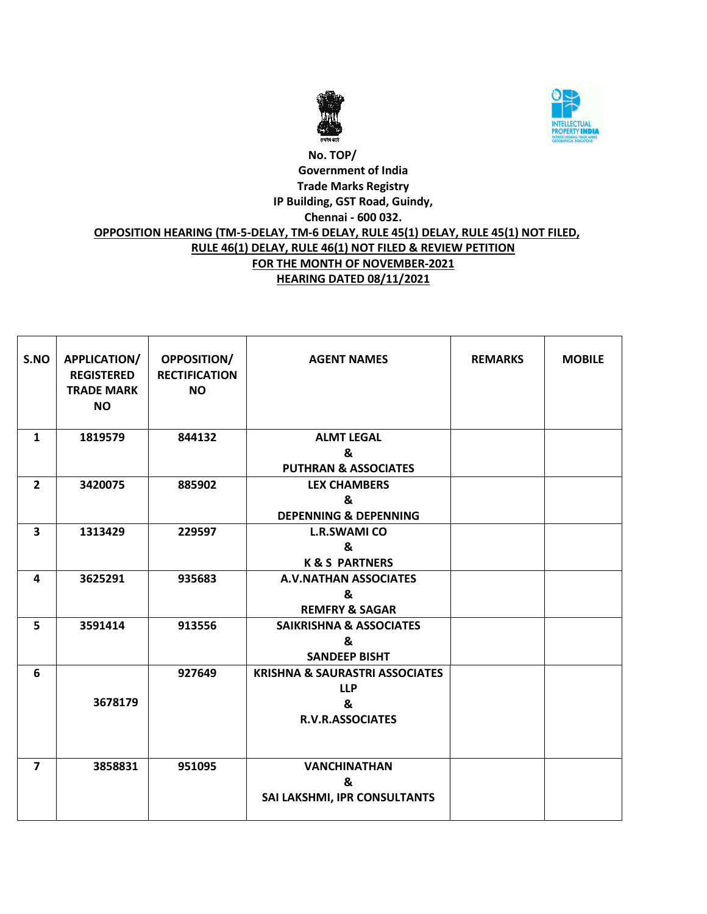



#### **No. TOP/ Government of India Trade Marks Registry IP Building, GST Road, Guindy, Chennai - 600 032. OPPOSITION HEARING (TM-5-DELAY, TM-6 DELAY, RULE 45(1) DELAY, RULE 45(1) NOT FILED, RULE 46(1) DELAY, RULE 46(1) NOT FILED & REVIEW PETITION FOR THE MONTH OF NOVEMBER-2021 HEARING DATED 08/11/2021**

| S.NO                    | APPLICATION/<br><b>REGISTERED</b><br><b>TRADE MARK</b><br><b>NO</b> | <b>OPPOSITION/</b><br><b>RECTIFICATION</b><br><b>NO</b> | <b>AGENT NAMES</b>                        | <b>REMARKS</b> | <b>MOBILE</b> |
|-------------------------|---------------------------------------------------------------------|---------------------------------------------------------|-------------------------------------------|----------------|---------------|
| $\mathbf{1}$            | 1819579                                                             | 844132                                                  | <b>ALMT LEGAL</b>                         |                |               |
|                         |                                                                     |                                                         | &                                         |                |               |
|                         |                                                                     |                                                         | <b>PUTHRAN &amp; ASSOCIATES</b>           |                |               |
| $\overline{2}$          | 3420075                                                             | 885902                                                  | <b>LEX CHAMBERS</b>                       |                |               |
|                         |                                                                     |                                                         | &                                         |                |               |
|                         |                                                                     |                                                         | <b>DEPENNING &amp; DEPENNING</b>          |                |               |
| $\overline{\mathbf{3}}$ | 1313429                                                             | 229597                                                  | <b>L.R.SWAMI CO</b>                       |                |               |
|                         |                                                                     |                                                         | &                                         |                |               |
|                         |                                                                     |                                                         | <b>K&amp;S PARTNERS</b>                   |                |               |
| 4                       | 3625291                                                             | 935683                                                  | <b>A.V.NATHAN ASSOCIATES</b>              |                |               |
|                         |                                                                     |                                                         | &                                         |                |               |
|                         |                                                                     |                                                         | <b>REMFRY &amp; SAGAR</b>                 |                |               |
| 5                       | 3591414                                                             | 913556                                                  | <b>SAIKRISHNA &amp; ASSOCIATES</b>        |                |               |
|                         |                                                                     |                                                         | &                                         |                |               |
|                         |                                                                     |                                                         | <b>SANDEEP BISHT</b>                      |                |               |
| 6                       |                                                                     | 927649                                                  | <b>KRISHNA &amp; SAURASTRI ASSOCIATES</b> |                |               |
|                         |                                                                     |                                                         | <b>LLP</b>                                |                |               |
|                         | 3678179                                                             |                                                         | &                                         |                |               |
|                         |                                                                     |                                                         | <b>R.V.R.ASSOCIATES</b>                   |                |               |
|                         |                                                                     |                                                         |                                           |                |               |
|                         |                                                                     |                                                         |                                           |                |               |
| $\overline{7}$          | 3858831                                                             | 951095                                                  | <b>VANCHINATHAN</b>                       |                |               |
|                         |                                                                     |                                                         | &                                         |                |               |
|                         |                                                                     |                                                         | SAI LAKSHMI, IPR CONSULTANTS              |                |               |
|                         |                                                                     |                                                         |                                           |                |               |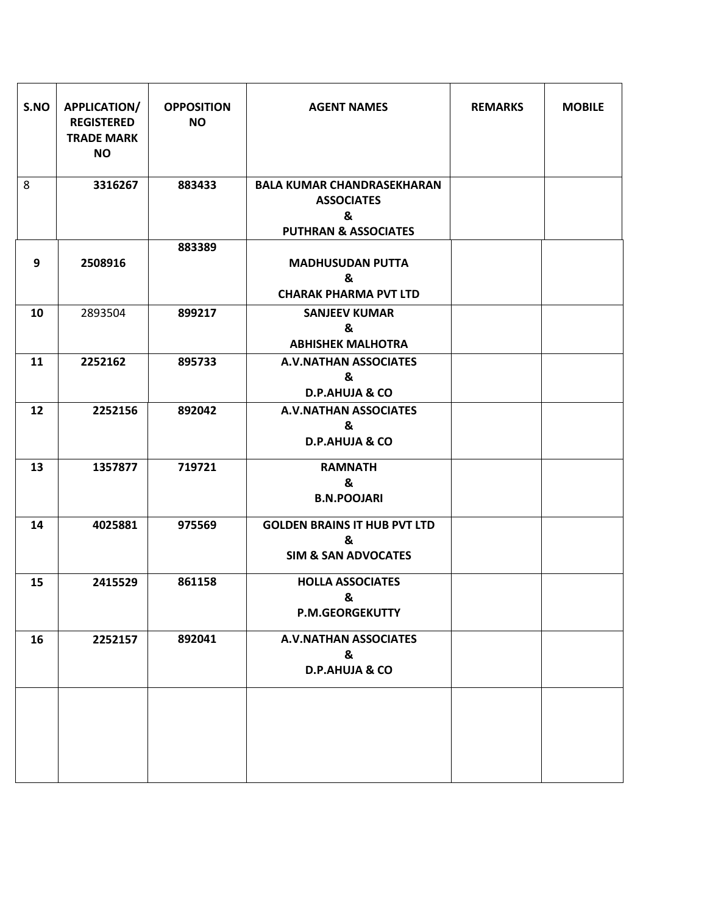| S.NO | APPLICATION/<br><b>REGISTERED</b><br><b>TRADE MARK</b><br><b>NO</b> | <b>OPPOSITION</b><br><b>NO</b> | <b>AGENT NAMES</b>                                                                             | <b>REMARKS</b> | <b>MOBILE</b> |
|------|---------------------------------------------------------------------|--------------------------------|------------------------------------------------------------------------------------------------|----------------|---------------|
| 8    | 3316267                                                             | 883433                         | <b>BALA KUMAR CHANDRASEKHARAN</b><br><b>ASSOCIATES</b><br>&<br><b>PUTHRAN &amp; ASSOCIATES</b> |                |               |
| 9    | 2508916                                                             | 883389                         | <b>MADHUSUDAN PUTTA</b><br>&<br><b>CHARAK PHARMA PVT LTD</b>                                   |                |               |
| 10   | 2893504                                                             | 899217                         | <b>SANJEEV KUMAR</b><br>&<br><b>ABHISHEK MALHOTRA</b>                                          |                |               |
| 11   | 2252162                                                             | 895733                         | <b>A.V.NATHAN ASSOCIATES</b><br>&<br><b>D.P.AHUJA &amp; CO</b>                                 |                |               |
| 12   | 2252156                                                             | 892042                         | <b>A.V.NATHAN ASSOCIATES</b><br>&<br><b>D.P.AHUJA &amp; CO</b>                                 |                |               |
| 13   | 1357877                                                             | 719721                         | <b>RAMNATH</b><br>&<br><b>B.N.POOJARI</b>                                                      |                |               |
| 14   | 4025881                                                             | 975569                         | <b>GOLDEN BRAINS IT HUB PVT LTD</b><br>&<br><b>SIM &amp; SAN ADVOCATES</b>                     |                |               |
| 15   | 2415529                                                             | 861158                         | <b>HOLLA ASSOCIATES</b><br>&<br><b>P.M.GEORGEKUTTY</b>                                         |                |               |
| 16   | 2252157                                                             | 892041                         | <b>A.V.NATHAN ASSOCIATES</b><br>&<br><b>D.P.AHUJA &amp; CO</b>                                 |                |               |
|      |                                                                     |                                |                                                                                                |                |               |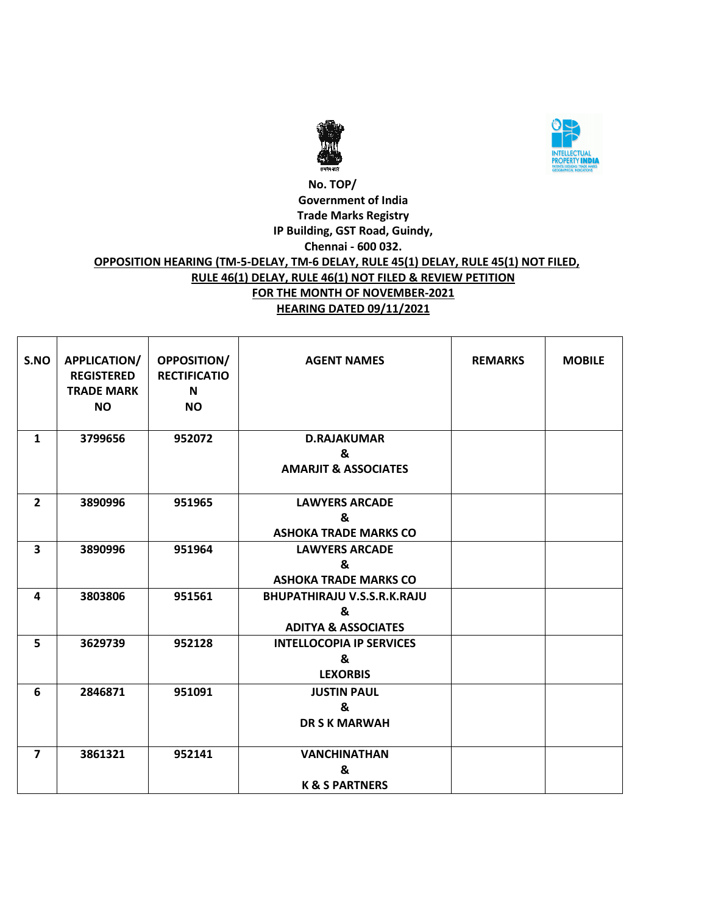



#### **No. TOP/ Government of India Trade Marks Registry IP Building, GST Road, Guindy, Chennai - 600 032. OPPOSITION HEARING (TM-5-DELAY, TM-6 DELAY, RULE 45(1) DELAY, RULE 45(1) NOT FILED, RULE 46(1) DELAY, RULE 46(1) NOT FILED & REVIEW PETITION FOR THE MONTH OF NOVEMBER-2021 HEARING DATED 09/11/2021**

| S.NO                    | <b>APPLICATION/</b><br><b>REGISTERED</b><br><b>TRADE MARK</b> | <b>OPPOSITION/</b><br><b>RECTIFICATIO</b><br>N | <b>AGENT NAMES</b>                 | <b>REMARKS</b> | <b>MOBILE</b> |
|-------------------------|---------------------------------------------------------------|------------------------------------------------|------------------------------------|----------------|---------------|
|                         | <b>NO</b>                                                     | <b>NO</b>                                      |                                    |                |               |
|                         |                                                               |                                                |                                    |                |               |
| $\mathbf{1}$            | 3799656                                                       | 952072                                         | <b>D.RAJAKUMAR</b>                 |                |               |
|                         |                                                               |                                                | &                                  |                |               |
|                         |                                                               |                                                | <b>AMARJIT &amp; ASSOCIATES</b>    |                |               |
|                         |                                                               |                                                |                                    |                |               |
| $\overline{2}$          | 3890996                                                       | 951965                                         | <b>LAWYERS ARCADE</b>              |                |               |
|                         |                                                               |                                                | &                                  |                |               |
|                         |                                                               |                                                | <b>ASHOKA TRADE MARKS CO</b>       |                |               |
| $\overline{\mathbf{3}}$ | 3890996                                                       | 951964                                         | <b>LAWYERS ARCADE</b>              |                |               |
|                         |                                                               |                                                | &                                  |                |               |
|                         |                                                               |                                                | <b>ASHOKA TRADE MARKS CO</b>       |                |               |
| 4                       | 3803806                                                       | 951561                                         | <b>BHUPATHIRAJU V.S.S.R.K.RAJU</b> |                |               |
|                         |                                                               |                                                | &                                  |                |               |
|                         |                                                               |                                                | <b>ADITYA &amp; ASSOCIATES</b>     |                |               |
| 5                       | 3629739                                                       | 952128                                         | <b>INTELLOCOPIA IP SERVICES</b>    |                |               |
|                         |                                                               |                                                | &                                  |                |               |
|                         |                                                               |                                                | <b>LEXORBIS</b>                    |                |               |
| 6                       | 2846871                                                       | 951091                                         | <b>JUSTIN PAUL</b>                 |                |               |
|                         |                                                               |                                                | &                                  |                |               |
|                         |                                                               |                                                | <b>DR S K MARWAH</b>               |                |               |
|                         |                                                               |                                                |                                    |                |               |
| $\overline{7}$          | 3861321                                                       | 952141                                         | <b>VANCHINATHAN</b>                |                |               |
|                         |                                                               |                                                | &                                  |                |               |
|                         |                                                               |                                                | <b>K &amp; S PARTNERS</b>          |                |               |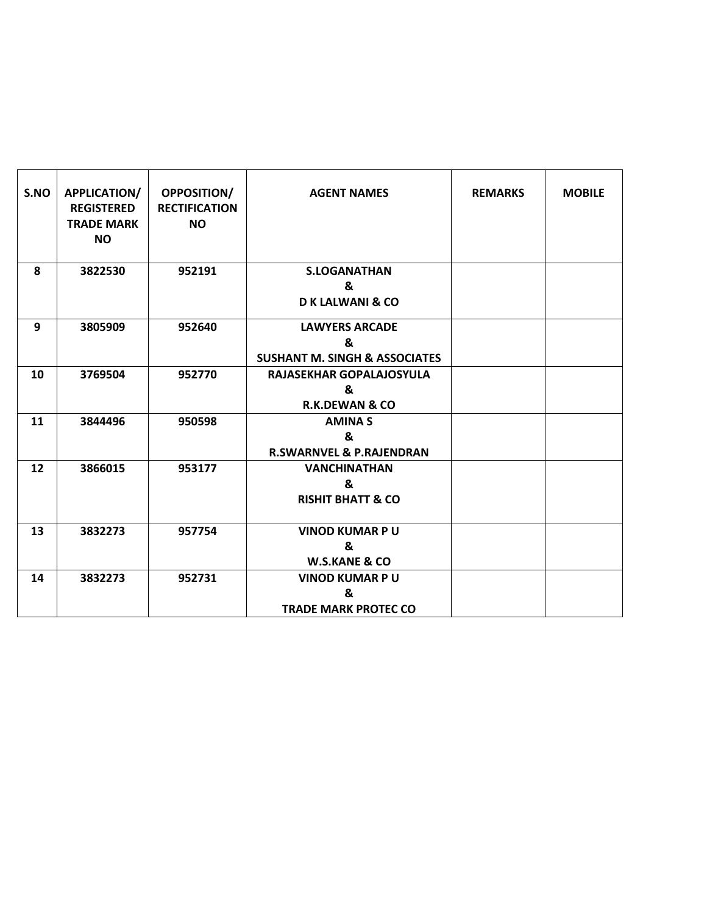| S.NO | <b>APPLICATION/</b><br><b>REGISTERED</b><br><b>TRADE MARK</b><br><b>NO</b> | <b>OPPOSITION/</b><br><b>RECTIFICATION</b><br><b>NO</b> | <b>AGENT NAMES</b>                                                     | <b>REMARKS</b> | <b>MOBILE</b> |
|------|----------------------------------------------------------------------------|---------------------------------------------------------|------------------------------------------------------------------------|----------------|---------------|
| 8    | 3822530                                                                    | 952191                                                  | <b>S.LOGANATHAN</b><br>&<br><b>D K LALWANI &amp; CO</b>                |                |               |
| 9    | 3805909                                                                    | 952640                                                  | <b>LAWYERS ARCADE</b><br>&<br><b>SUSHANT M. SINGH &amp; ASSOCIATES</b> |                |               |
| 10   | 3769504                                                                    | 952770                                                  | RAJASEKHAR GOPALAJOSYULA<br>&<br><b>R.K.DEWAN &amp; CO</b>             |                |               |
| 11   | 3844496                                                                    | 950598                                                  | <b>AMINAS</b><br>&<br><b>R.SWARNVEL &amp; P.RAJENDRAN</b>              |                |               |
| 12   | 3866015                                                                    | 953177                                                  | <b>VANCHINATHAN</b><br>&<br><b>RISHIT BHATT &amp; CO</b>               |                |               |
| 13   | 3832273                                                                    | 957754                                                  | <b>VINOD KUMAR PU</b><br>&<br><b>W.S.KANE &amp; CO</b>                 |                |               |
| 14   | 3832273                                                                    | 952731                                                  | <b>VINOD KUMAR PU</b><br>&<br><b>TRADE MARK PROTEC CO</b>              |                |               |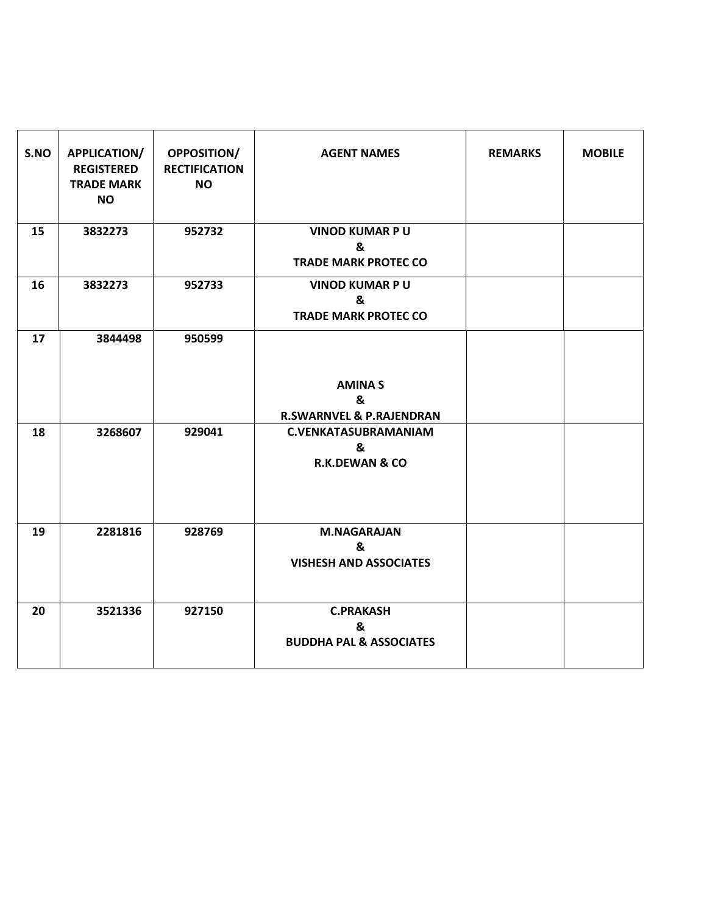| S.NO | APPLICATION/<br><b>REGISTERED</b><br><b>TRADE MARK</b><br><b>NO</b> | <b>OPPOSITION/</b><br><b>RECTIFICATION</b><br><b>NO</b> | <b>AGENT NAMES</b>                                            | <b>REMARKS</b> | <b>MOBILE</b> |
|------|---------------------------------------------------------------------|---------------------------------------------------------|---------------------------------------------------------------|----------------|---------------|
| 15   | 3832273                                                             | 952732                                                  | <b>VINOD KUMAR PU</b><br>&<br><b>TRADE MARK PROTEC CO</b>     |                |               |
| 16   | 3832273                                                             | 952733                                                  | <b>VINOD KUMAR PU</b><br>&<br><b>TRADE MARK PROTEC CO</b>     |                |               |
| 17   | 3844498                                                             | 950599                                                  | <b>AMINAS</b><br>&<br><b>R.SWARNVEL &amp; P.RAJENDRAN</b>     |                |               |
| 18   | 3268607                                                             | 929041                                                  | <b>C.VENKATASUBRAMANIAM</b><br>&<br><b>R.K.DEWAN &amp; CO</b> |                |               |
| 19   | 2281816                                                             | 928769                                                  | <b>M.NAGARAJAN</b><br>&<br><b>VISHESH AND ASSOCIATES</b>      |                |               |
| 20   | 3521336                                                             | 927150                                                  | <b>C.PRAKASH</b><br>&<br><b>BUDDHA PAL &amp; ASSOCIATES</b>   |                |               |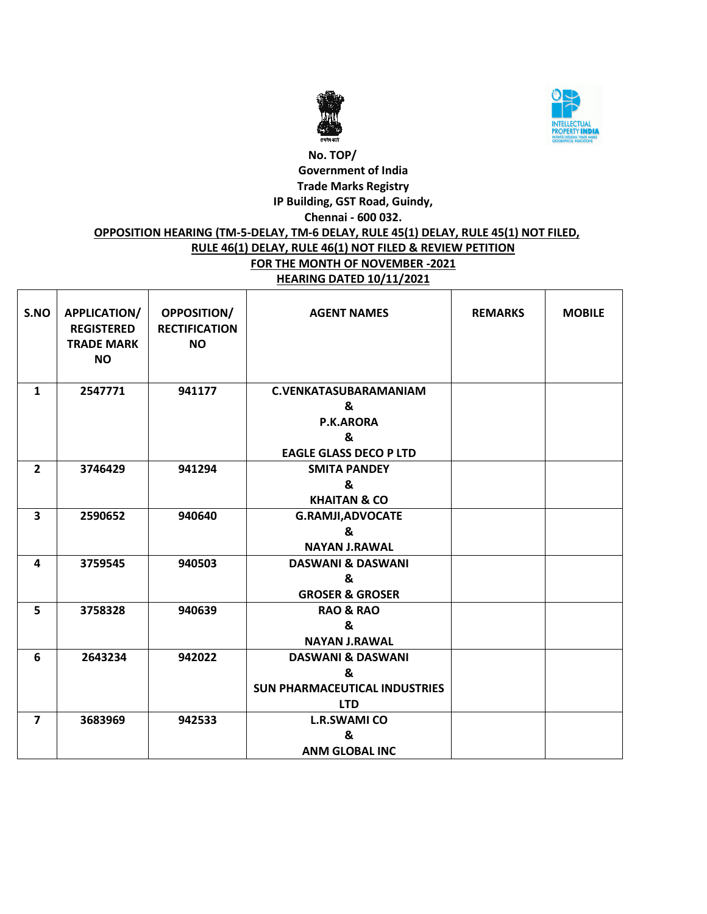



## **No. TOP/ Government of India Trade Marks Registry IP Building, GST Road, Guindy, Chennai - 600 032.**

#### **OPPOSITION HEARING (TM-5-DELAY, TM-6 DELAY, RULE 45(1) DELAY, RULE 45(1) NOT FILED, RULE 46(1) DELAY, RULE 46(1) NOT FILED & REVIEW PETITION FOR THE MONTH OF NOVEMBER -2021 HEARING DATED 10/11/2021**

| S.NO                    | APPLICATION/<br><b>REGISTERED</b><br><b>TRADE MARK</b><br><b>NO</b> | OPPOSITION/<br><b>RECTIFICATION</b><br><b>NO</b> | <b>AGENT NAMES</b>                   | <b>REMARKS</b> | <b>MOBILE</b> |
|-------------------------|---------------------------------------------------------------------|--------------------------------------------------|--------------------------------------|----------------|---------------|
| $\mathbf{1}$            | 2547771                                                             | 941177                                           | <b>C.VENKATASUBARAMANIAM</b>         |                |               |
|                         |                                                                     |                                                  | &                                    |                |               |
|                         |                                                                     |                                                  | P.K.ARORA                            |                |               |
|                         |                                                                     |                                                  | &                                    |                |               |
|                         |                                                                     |                                                  | <b>EAGLE GLASS DECO P LTD</b>        |                |               |
| $\overline{2}$          | 3746429                                                             | 941294                                           | <b>SMITA PANDEY</b>                  |                |               |
|                         |                                                                     |                                                  | &                                    |                |               |
|                         |                                                                     |                                                  | <b>KHAITAN &amp; CO</b>              |                |               |
| $\overline{\mathbf{3}}$ | 2590652                                                             | 940640                                           | <b>G.RAMJI, ADVOCATE</b>             |                |               |
|                         |                                                                     |                                                  | &                                    |                |               |
|                         |                                                                     |                                                  | <b>NAYAN J.RAWAL</b>                 |                |               |
| 4                       | 3759545                                                             | 940503                                           | <b>DASWANI &amp; DASWANI</b>         |                |               |
|                         |                                                                     |                                                  | &                                    |                |               |
|                         |                                                                     |                                                  | <b>GROSER &amp; GROSER</b>           |                |               |
| 5                       | 3758328                                                             | 940639                                           | <b>RAO &amp; RAO</b>                 |                |               |
|                         |                                                                     |                                                  | &                                    |                |               |
|                         |                                                                     |                                                  | <b>NAYAN J.RAWAL</b>                 |                |               |
| 6                       | 2643234                                                             | 942022                                           | <b>DASWANI &amp; DASWANI</b>         |                |               |
|                         |                                                                     |                                                  | $\mathbf{z}$                         |                |               |
|                         |                                                                     |                                                  | <b>SUN PHARMACEUTICAL INDUSTRIES</b> |                |               |
|                         |                                                                     |                                                  | <b>LTD</b>                           |                |               |
| $\overline{7}$          | 3683969                                                             | 942533                                           | <b>L.R.SWAMI CO</b>                  |                |               |
|                         |                                                                     |                                                  | &                                    |                |               |
|                         |                                                                     |                                                  | <b>ANM GLOBAL INC</b>                |                |               |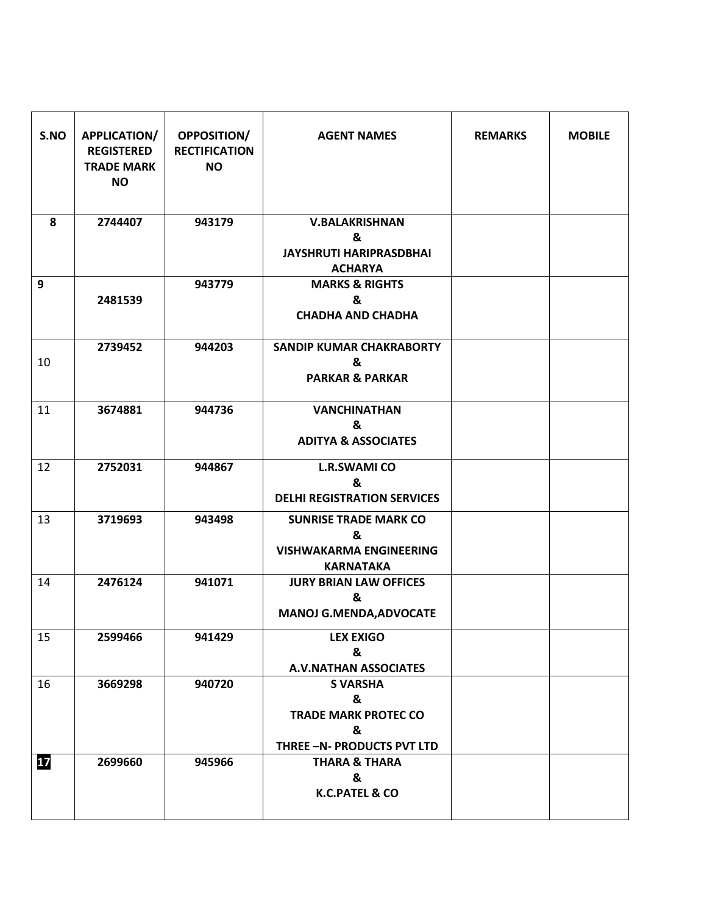| S.NO | APPLICATION/<br><b>REGISTERED</b><br><b>TRADE MARK</b><br><b>NO</b> | OPPOSITION/<br><b>RECTIFICATION</b><br><b>NO</b> | <b>AGENT NAMES</b>                                                                      | <b>REMARKS</b> | <b>MOBILE</b> |
|------|---------------------------------------------------------------------|--------------------------------------------------|-----------------------------------------------------------------------------------------|----------------|---------------|
| 8    | 2744407                                                             | 943179                                           | <b>V.BALAKRISHNAN</b><br>&<br><b>JAYSHRUTI HARIPRASDBHAI</b><br><b>ACHARYA</b>          |                |               |
| 9    | 2481539                                                             | 943779                                           | <b>MARKS &amp; RIGHTS</b><br>&<br><b>CHADHA AND CHADHA</b>                              |                |               |
| 10   | 2739452                                                             | 944203                                           | <b>SANDIP KUMAR CHAKRABORTY</b><br>&<br><b>PARKAR &amp; PARKAR</b>                      |                |               |
| 11   | 3674881                                                             | 944736                                           | <b>VANCHINATHAN</b><br>&<br><b>ADITYA &amp; ASSOCIATES</b>                              |                |               |
| 12   | 2752031                                                             | 944867                                           | <b>L.R.SWAMI CO</b><br>&<br><b>DELHI REGISTRATION SERVICES</b>                          |                |               |
| 13   | 3719693                                                             | 943498                                           | <b>SUNRISE TRADE MARK CO</b><br>&<br><b>VISHWAKARMA ENGINEERING</b><br><b>KARNATAKA</b> |                |               |
| 14   | 2476124                                                             | 941071                                           | <b>JURY BRIAN LAW OFFICES</b><br>&<br><b>MANOJ G.MENDA, ADVOCATE</b>                    |                |               |
| 15   | 2599466                                                             | 941429                                           | <b>LEX EXIGO</b><br>&<br><b>A.V.NATHAN ASSOCIATES</b>                                   |                |               |
| 16   | 3669298                                                             | 940720                                           | <b>S VARSHA</b><br>&<br><b>TRADE MARK PROTEC CO</b><br>&<br>THREE -N- PRODUCTS PVT LTD  |                |               |
| 17   | 2699660                                                             | 945966                                           | <b>THARA &amp; THARA</b><br>&<br>K.C.PATEL & CO                                         |                |               |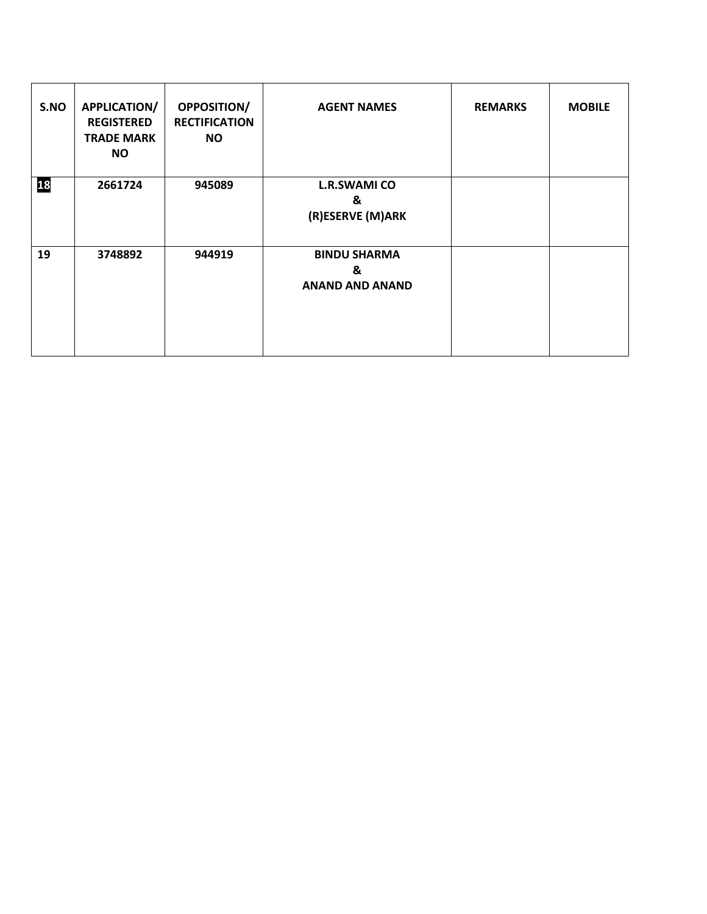| S.NO | <b>APPLICATION/</b><br><b>REGISTERED</b><br><b>TRADE MARK</b><br><b>NO</b> | <b>OPPOSITION/</b><br><b>RECTIFICATION</b><br><b>NO</b> | <b>AGENT NAMES</b>                                 | <b>REMARKS</b> | <b>MOBILE</b> |
|------|----------------------------------------------------------------------------|---------------------------------------------------------|----------------------------------------------------|----------------|---------------|
| 18   | 2661724                                                                    | 945089                                                  | <b>L.R.SWAMI CO</b><br>&<br>(R)ESERVE (M)ARK       |                |               |
| 19   | 3748892                                                                    | 944919                                                  | <b>BINDU SHARMA</b><br>&<br><b>ANAND AND ANAND</b> |                |               |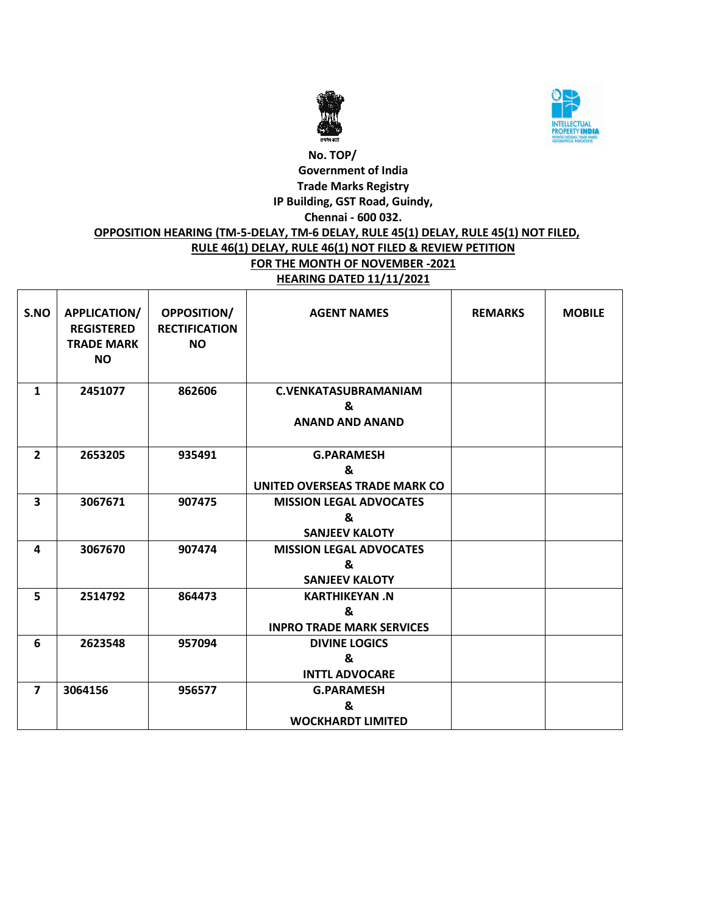



#### **No. TOP/ Government of India Trade Marks Registry IP Building, GST Road, Guindy, Chennai - 600 032. OPPOSITION HEARING (TM-5-DELAY, TM-6 DELAY, RULE 45(1) DELAY, RULE 45(1) NOT FILED, RULE 46(1) DELAY, RULE 46(1) NOT FILED & REVIEW PETITION FOR THE MONTH OF NOVEMBER -2021**

# **HEARING DATED 11/11/2021**

| S.NO           | APPLICATION/<br><b>REGISTERED</b><br><b>TRADE MARK</b><br><b>NO</b> | <b>OPPOSITION/</b><br><b>RECTIFICATION</b><br><b>NO</b> | <b>AGENT NAMES</b>                                            | <b>REMARKS</b> | <b>MOBILE</b> |
|----------------|---------------------------------------------------------------------|---------------------------------------------------------|---------------------------------------------------------------|----------------|---------------|
| $\mathbf{1}$   | 2451077                                                             | 862606                                                  | <b>C.VENKATASUBRAMANIAM</b><br>&<br><b>ANAND AND ANAND</b>    |                |               |
| $\overline{2}$ | 2653205                                                             | 935491                                                  | <b>G.PARAMESH</b><br>&<br>UNITED OVERSEAS TRADE MARK CO       |                |               |
| 3              | 3067671                                                             | 907475                                                  | <b>MISSION LEGAL ADVOCATES</b><br>&<br><b>SANJEEV KALOTY</b>  |                |               |
| 4              | 3067670                                                             | 907474                                                  | <b>MISSION LEGAL ADVOCATES</b><br>&<br><b>SANJEEV KALOTY</b>  |                |               |
| 5              | 2514792                                                             | 864473                                                  | <b>KARTHIKEYAN.N</b><br>&<br><b>INPRO TRADE MARK SERVICES</b> |                |               |
| 6              | 2623548                                                             | 957094                                                  | <b>DIVINE LOGICS</b><br>&<br><b>INTTL ADVOCARE</b>            |                |               |
| $\overline{7}$ | 3064156                                                             | 956577                                                  | <b>G.PARAMESH</b><br>&<br><b>WOCKHARDT LIMITED</b>            |                |               |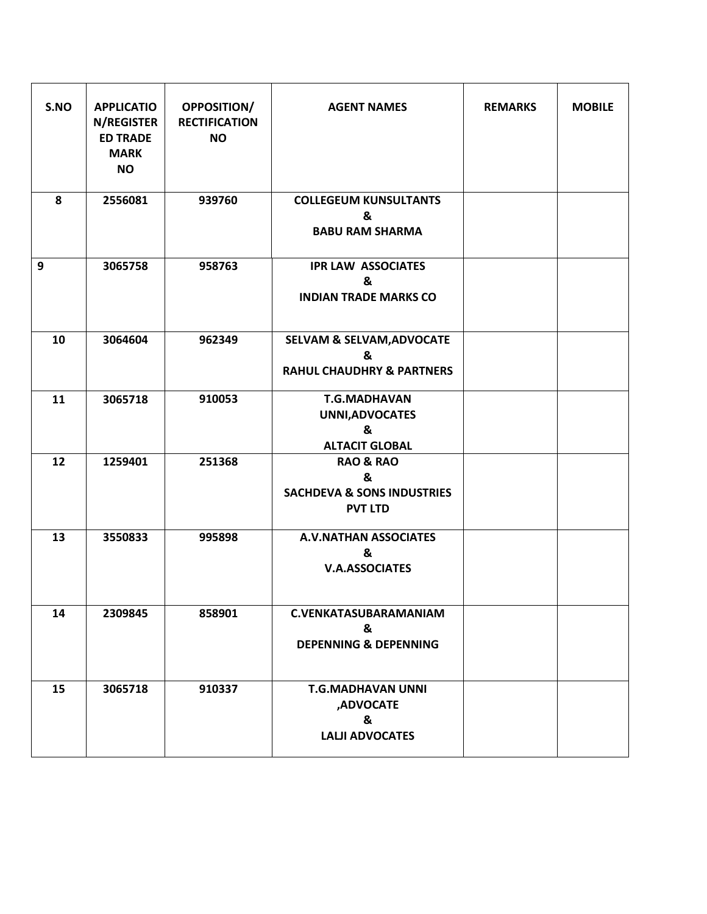| S.NO | <b>APPLICATIO</b><br>N/REGISTER<br><b>ED TRADE</b><br><b>MARK</b><br><b>NO</b> | <b>OPPOSITION/</b><br><b>RECTIFICATION</b><br><b>NO</b> | <b>AGENT NAMES</b>                                                                   | <b>REMARKS</b> | <b>MOBILE</b> |
|------|--------------------------------------------------------------------------------|---------------------------------------------------------|--------------------------------------------------------------------------------------|----------------|---------------|
| 8    | 2556081                                                                        | 939760                                                  | <b>COLLEGEUM KUNSULTANTS</b><br>&<br><b>BABU RAM SHARMA</b>                          |                |               |
| 9    | 3065758                                                                        | 958763                                                  | <b>IPR LAW ASSOCIATES</b><br>&<br><b>INDIAN TRADE MARKS CO</b>                       |                |               |
| 10   | 3064604                                                                        | 962349                                                  | <b>SELVAM &amp; SELVAM, ADVOCATE</b><br>&<br><b>RAHUL CHAUDHRY &amp; PARTNERS</b>    |                |               |
| 11   | 3065718                                                                        | 910053                                                  | <b>T.G.MADHAVAN</b><br>UNNI, ADVOCATES<br>&<br><b>ALTACIT GLOBAL</b>                 |                |               |
| 12   | 1259401                                                                        | 251368                                                  | <b>RAO &amp; RAO</b><br>&<br><b>SACHDEVA &amp; SONS INDUSTRIES</b><br><b>PVT LTD</b> |                |               |
| 13   | 3550833                                                                        | 995898                                                  | <b>A.V.NATHAN ASSOCIATES</b><br>&<br><b>V.A.ASSOCIATES</b>                           |                |               |
| 14   | 2309845                                                                        | 858901                                                  | C.VENKATASUBARAMANIAM<br>&<br><b>DEPENNING &amp; DEPENNING</b>                       |                |               |
| 15   | 3065718                                                                        | 910337                                                  | <b>T.G.MADHAVAN UNNI</b><br>,ADVOCATE<br>&<br><b>LALJI ADVOCATES</b>                 |                |               |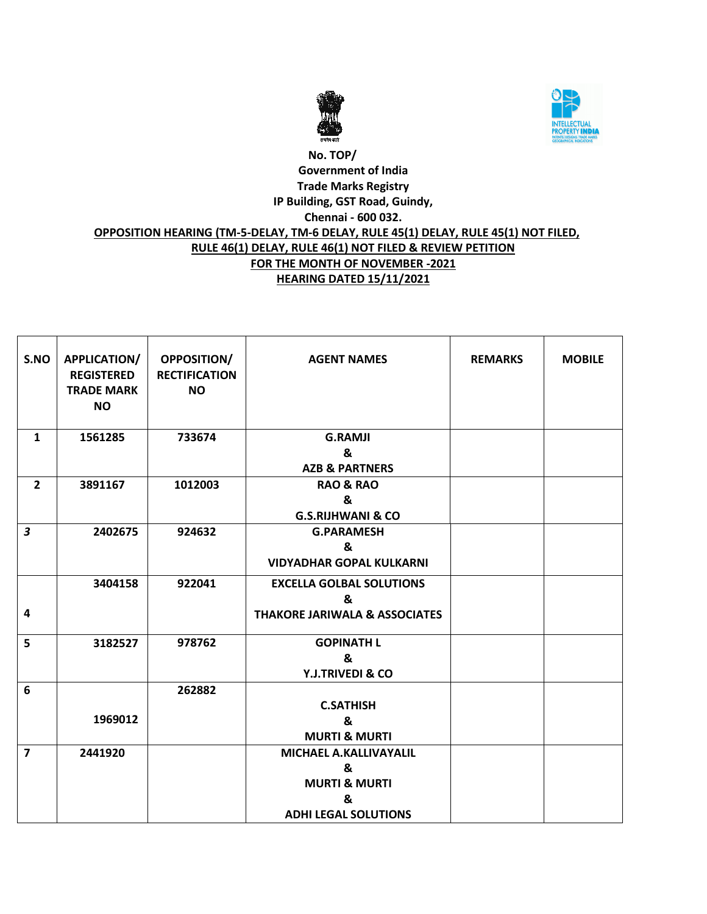



#### **No. TOP/ Government of India Trade Marks Registry IP Building, GST Road, Guindy, Chennai - 600 032. OPPOSITION HEARING (TM-5-DELAY, TM-6 DELAY, RULE 45(1) DELAY, RULE 45(1) NOT FILED, RULE 46(1) DELAY, RULE 46(1) NOT FILED & REVIEW PETITION FOR THE MONTH OF NOVEMBER -2021 HEARING DATED 15/11/2021**

| S.NO                    | <b>APPLICATION/</b><br><b>REGISTERED</b><br><b>TRADE MARK</b><br><b>NO</b> | <b>OPPOSITION/</b><br><b>RECTIFICATION</b><br><b>NO</b> | <b>AGENT NAMES</b>                       | <b>REMARKS</b> | <b>MOBILE</b> |
|-------------------------|----------------------------------------------------------------------------|---------------------------------------------------------|------------------------------------------|----------------|---------------|
|                         |                                                                            |                                                         |                                          |                |               |
| $\mathbf{1}$            | 1561285                                                                    | 733674                                                  | <b>G.RAMJI</b>                           |                |               |
|                         |                                                                            |                                                         | &                                        |                |               |
|                         |                                                                            |                                                         | <b>AZB &amp; PARTNERS</b>                |                |               |
| $\overline{2}$          | 3891167                                                                    | 1012003                                                 | <b>RAO &amp; RAO</b>                     |                |               |
|                         |                                                                            |                                                         | &                                        |                |               |
|                         |                                                                            |                                                         | <b>G.S.RIJHWANI &amp; CO</b>             |                |               |
| $\overline{\mathbf{3}}$ | 2402675                                                                    | 924632                                                  | <b>G.PARAMESH</b>                        |                |               |
|                         |                                                                            |                                                         | &                                        |                |               |
|                         |                                                                            |                                                         | <b>VIDYADHAR GOPAL KULKARNI</b>          |                |               |
|                         | 3404158                                                                    | 922041                                                  | <b>EXCELLA GOLBAL SOLUTIONS</b>          |                |               |
|                         |                                                                            |                                                         | &                                        |                |               |
| $\overline{\mathbf{4}}$ |                                                                            |                                                         | <b>THAKORE JARIWALA &amp; ASSOCIATES</b> |                |               |
| 5                       | 3182527                                                                    | 978762                                                  | <b>GOPINATH L</b>                        |                |               |
|                         |                                                                            |                                                         | &                                        |                |               |
|                         |                                                                            |                                                         | Y.J.TRIVEDI & CO                         |                |               |
| 6                       |                                                                            | 262882                                                  |                                          |                |               |
|                         |                                                                            |                                                         | <b>C.SATHISH</b>                         |                |               |
|                         | 1969012                                                                    |                                                         | &                                        |                |               |
|                         |                                                                            |                                                         | <b>MURTI &amp; MURTI</b>                 |                |               |
| $\overline{7}$          | 2441920                                                                    |                                                         | MICHAEL A.KALLIVAYALIL                   |                |               |
|                         |                                                                            |                                                         | &                                        |                |               |
|                         |                                                                            |                                                         | <b>MURTI &amp; MURTI</b>                 |                |               |
|                         |                                                                            |                                                         | &                                        |                |               |
|                         |                                                                            |                                                         | <b>ADHI LEGAL SOLUTIONS</b>              |                |               |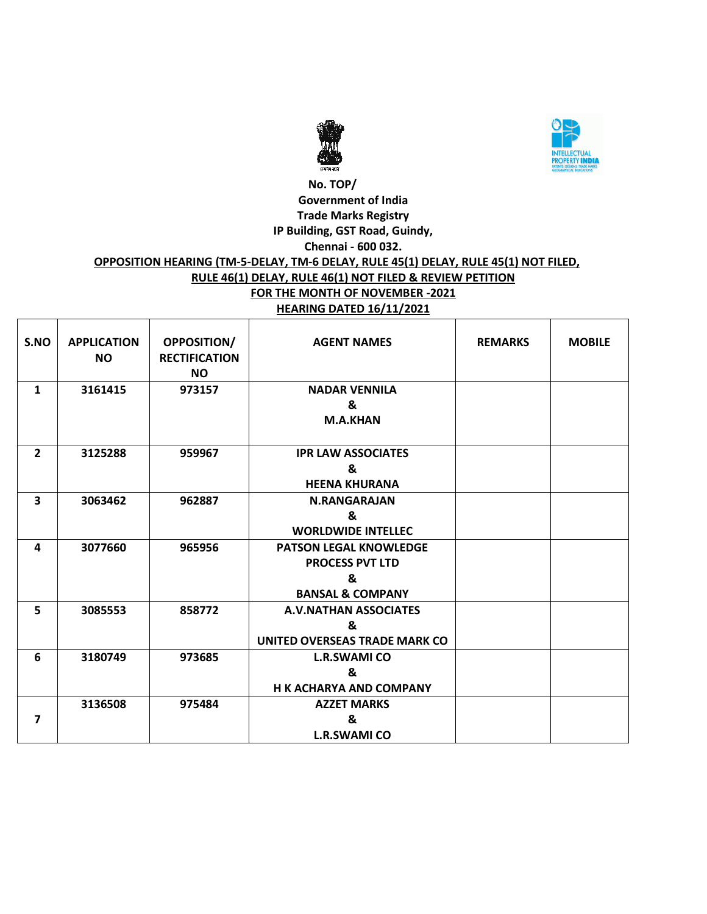



#### **No. TOP/ Government of India Trade Marks Registry IP Building, GST Road, Guindy, Chennai - 600 032. OPPOSITION HEARING (TM-5-DELAY, TM-6 DELAY, RULE 45(1) DELAY, RULE 45(1) NOT FILED, RULE 46(1) DELAY, RULE 46(1) NOT FILED & REVIEW PETITION FOR THE MONTH OF NOVEMBER -2021 HEARING DATED 16/11/2021**

| S.NO           | <b>APPLICATION</b><br><b>NO</b> | <b>OPPOSITION/</b><br><b>RECTIFICATION</b><br><b>NO</b> | <b>AGENT NAMES</b>                                                                          | <b>REMARKS</b> | <b>MOBILE</b> |
|----------------|---------------------------------|---------------------------------------------------------|---------------------------------------------------------------------------------------------|----------------|---------------|
| $\mathbf{1}$   | 3161415                         | 973157                                                  | <b>NADAR VENNILA</b><br>&<br><b>M.A.KHAN</b>                                                |                |               |
| $\overline{2}$ | 3125288                         | 959967                                                  | <b>IPR LAW ASSOCIATES</b><br>&<br><b>HEENA KHURANA</b>                                      |                |               |
| 3              | 3063462                         | 962887                                                  | <b>N.RANGARAJAN</b><br>&<br><b>WORLDWIDE INTELLEC</b>                                       |                |               |
| 4              | 3077660                         | 965956                                                  | <b>PATSON LEGAL KNOWLEDGE</b><br><b>PROCESS PVT LTD</b><br>&<br><b>BANSAL &amp; COMPANY</b> |                |               |
| 5              | 3085553                         | 858772                                                  | <b>A.V.NATHAN ASSOCIATES</b><br>&<br>UNITED OVERSEAS TRADE MARK CO                          |                |               |
| 6              | 3180749                         | 973685                                                  | <b>L.R.SWAMI CO</b><br>&<br><b>H K ACHARYA AND COMPANY</b>                                  |                |               |
| 7              | 3136508                         | 975484                                                  | <b>AZZET MARKS</b><br>&<br><b>L.R.SWAMI CO</b>                                              |                |               |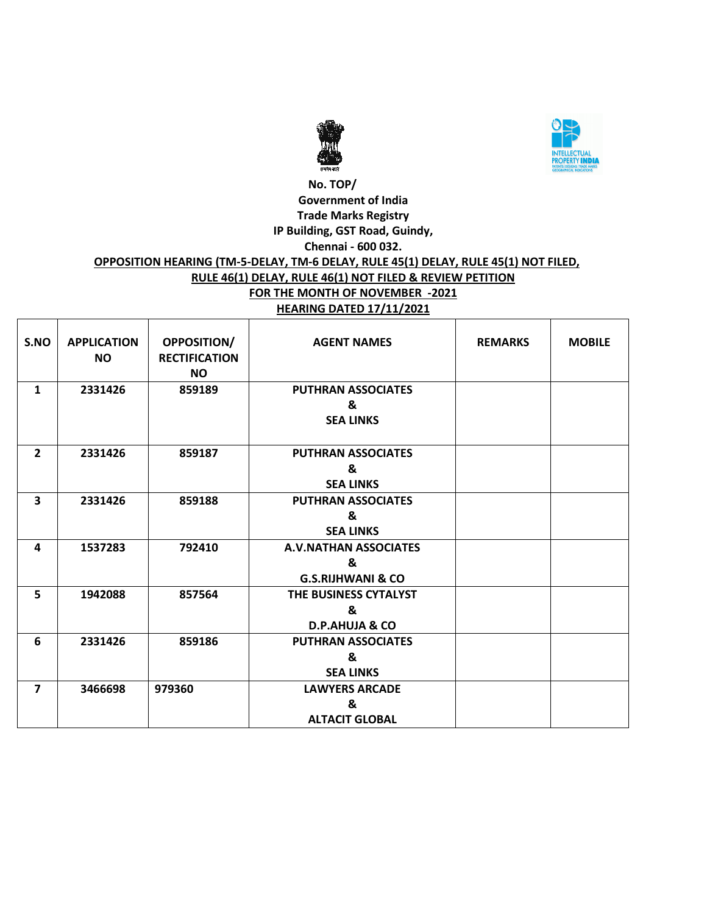



#### **No. TOP/ Government of India Trade Marks Registry IP Building, GST Road, Guindy, Chennai - 600 032. OPPOSITION HEARING (TM-5-DELAY, TM-6 DELAY, RULE 45(1) DELAY, RULE 45(1) NOT FILED, RULE 46(1) DELAY, RULE 46(1) NOT FILED & REVIEW PETITION FOR THE MONTH OF NOVEMBER -2021 HEARING DATED 17/11/2021**

| S.NO                    | <b>APPLICATION</b><br><b>NO</b> | <b>OPPOSITION/</b><br><b>RECTIFICATION</b><br><b>NO</b> | <b>AGENT NAMES</b>                                 | <b>REMARKS</b> | <b>MOBILE</b> |
|-------------------------|---------------------------------|---------------------------------------------------------|----------------------------------------------------|----------------|---------------|
| $\mathbf{1}$            | 2331426                         | 859189                                                  | <b>PUTHRAN ASSOCIATES</b><br>&<br><b>SEA LINKS</b> |                |               |
| $\overline{2}$          | 2331426                         | 859187                                                  | <b>PUTHRAN ASSOCIATES</b>                          |                |               |
|                         |                                 |                                                         | &                                                  |                |               |
|                         |                                 |                                                         | <b>SEA LINKS</b>                                   |                |               |
| 3                       | 2331426                         | 859188                                                  | <b>PUTHRAN ASSOCIATES</b>                          |                |               |
|                         |                                 |                                                         | &                                                  |                |               |
|                         |                                 |                                                         | <b>SEA LINKS</b>                                   |                |               |
| 4                       | 1537283                         | 792410                                                  | <b>A.V.NATHAN ASSOCIATES</b>                       |                |               |
|                         |                                 |                                                         | &                                                  |                |               |
|                         |                                 |                                                         | <b>G.S.RIJHWANI &amp; CO</b>                       |                |               |
| 5                       | 1942088                         | 857564                                                  | THE BUSINESS CYTALYST                              |                |               |
|                         |                                 |                                                         | &                                                  |                |               |
|                         |                                 |                                                         | <b>D.P.AHUJA &amp; CO</b>                          |                |               |
| 6                       | 2331426                         | 859186                                                  | <b>PUTHRAN ASSOCIATES</b>                          |                |               |
|                         |                                 |                                                         | &                                                  |                |               |
|                         |                                 |                                                         | <b>SEA LINKS</b>                                   |                |               |
| $\overline{\mathbf{z}}$ | 3466698                         | 979360                                                  | <b>LAWYERS ARCADE</b>                              |                |               |
|                         |                                 |                                                         | &                                                  |                |               |
|                         |                                 |                                                         | <b>ALTACIT GLOBAL</b>                              |                |               |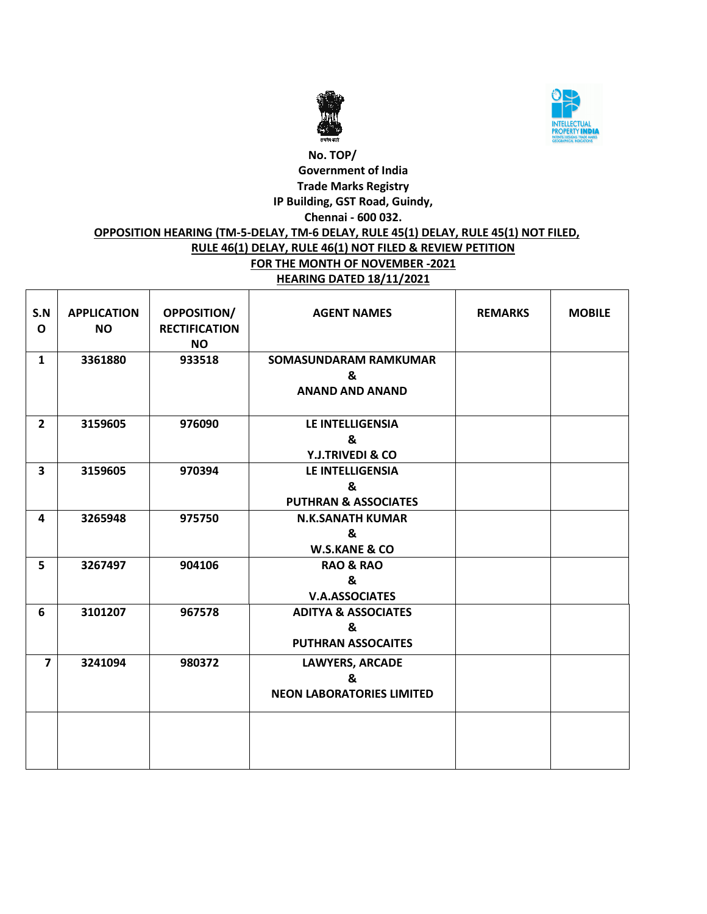



#### **No. TOP/ Government of India Trade Marks Registry IP Building, GST Road, Guindy, Chennai - 600 032. OPPOSITION HEARING (TM-5-DELAY, TM-6 DELAY, RULE 45(1) DELAY, RULE 45(1) NOT FILED, RULE 46(1) DELAY, RULE 46(1) NOT FILED & REVIEW PETITION FOR THE MONTH OF NOVEMBER -2021 HEARING DATED 18/11/2021**  $\top$ ⊤ Т ┬

 $\overline{\phantom{0}}$ 

| S.N<br>$\Omega$         | <b>APPLICATION</b><br><b>NO</b> | <b>OPPOSITION/</b><br><b>RECTIFICATION</b><br><b>NO</b> | <b>AGENT NAMES</b>                                               | <b>REMARKS</b> | <b>MOBILE</b> |
|-------------------------|---------------------------------|---------------------------------------------------------|------------------------------------------------------------------|----------------|---------------|
| $\mathbf{1}$            | 3361880                         | 933518                                                  | <b>SOMASUNDARAM RAMKUMAR</b><br>&<br><b>ANAND AND ANAND</b>      |                |               |
| $\overline{2}$          | 3159605                         | 976090                                                  | LE INTELLIGENSIA<br>&<br><b>Y.J.TRIVEDI &amp; CO</b>             |                |               |
| $\overline{\mathbf{3}}$ | 3159605                         | 970394                                                  | LE INTELLIGENSIA<br>&<br><b>PUTHRAN &amp; ASSOCIATES</b>         |                |               |
| 4                       | 3265948                         | 975750                                                  | <b>N.K.SANATH KUMAR</b><br>&<br><b>W.S.KANE &amp; CO</b>         |                |               |
| 5                       | 3267497                         | 904106                                                  | <b>RAO &amp; RAO</b><br>&<br><b>V.A.ASSOCIATES</b>               |                |               |
| 6                       | 3101207                         | 967578                                                  | <b>ADITYA &amp; ASSOCIATES</b><br>&<br><b>PUTHRAN ASSOCAITES</b> |                |               |
| $\overline{7}$          | 3241094                         | 980372                                                  | <b>LAWYERS, ARCADE</b><br>&<br><b>NEON LABORATORIES LIMITED</b>  |                |               |
|                         |                                 |                                                         |                                                                  |                |               |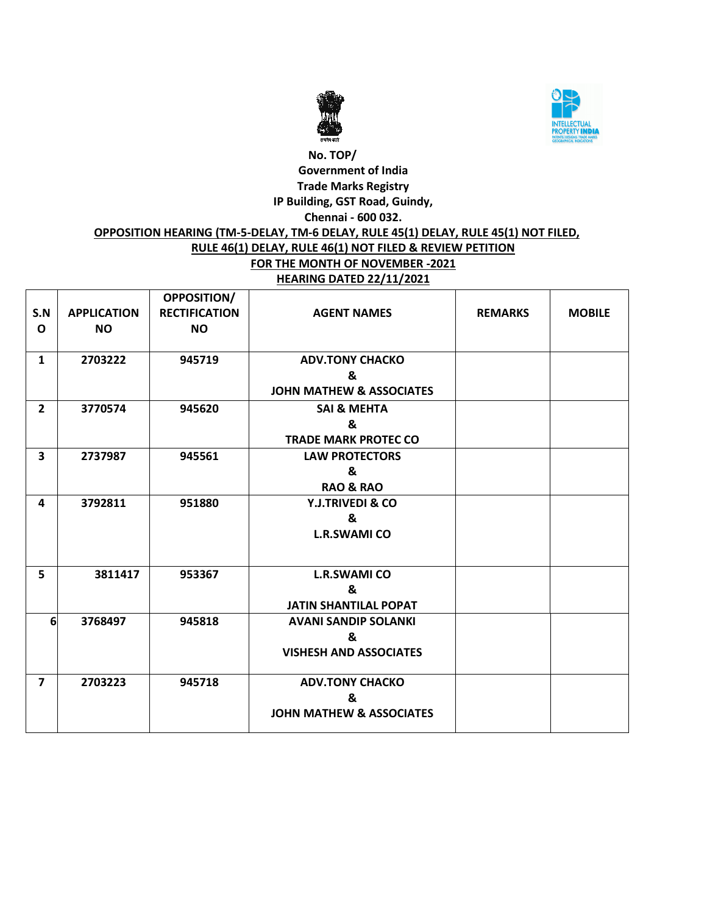



#### **No. TOP/ Government of India Trade Marks Registry IP Building, GST Road, Guindy, Chennai - 600 032. OPPOSITION HEARING (TM-5-DELAY, TM-6 DELAY, RULE 45(1) DELAY, RULE 45(1) NOT FILED, RULE 46(1) DELAY, RULE 46(1) NOT FILED & REVIEW PETITION FOR THE MONTH OF NOVEMBER -2021 HEARING DATED 22/11/2021**

| S.N<br>$\mathbf{o}$     | <b>APPLICATION</b><br><b>NO</b> | <b>OPPOSITION/</b><br><b>RECTIFICATION</b><br><b>NO</b> | <b>AGENT NAMES</b>                  | <b>REMARKS</b> | <b>MOBILE</b> |
|-------------------------|---------------------------------|---------------------------------------------------------|-------------------------------------|----------------|---------------|
| $\mathbf{1}$            | 2703222                         | 945719                                                  | <b>ADV.TONY CHACKO</b>              |                |               |
|                         |                                 |                                                         | &                                   |                |               |
|                         |                                 |                                                         | <b>JOHN MATHEW &amp; ASSOCIATES</b> |                |               |
| $\overline{2}$          | 3770574                         | 945620                                                  | <b>SAI &amp; MEHTA</b>              |                |               |
|                         |                                 |                                                         | &                                   |                |               |
|                         |                                 |                                                         | <b>TRADE MARK PROTEC CO</b>         |                |               |
| $\overline{\mathbf{3}}$ | 2737987                         | 945561                                                  | <b>LAW PROTECTORS</b>               |                |               |
|                         |                                 |                                                         | &                                   |                |               |
|                         |                                 |                                                         | <b>RAO &amp; RAO</b>                |                |               |
| 4                       | 3792811                         | 951880                                                  | <b>Y.J.TRIVEDI &amp; CO</b>         |                |               |
|                         |                                 |                                                         | &                                   |                |               |
|                         |                                 |                                                         | <b>L.R.SWAMI CO</b>                 |                |               |
| 5                       | 3811417                         | 953367                                                  | <b>L.R.SWAMI CO</b>                 |                |               |
|                         |                                 |                                                         | &                                   |                |               |
|                         |                                 |                                                         | <b>JATIN SHANTILAL POPAT</b>        |                |               |
| 6                       | 3768497                         | 945818                                                  | <b>AVANI SANDIP SOLANKI</b>         |                |               |
|                         |                                 |                                                         | &                                   |                |               |
|                         |                                 |                                                         | <b>VISHESH AND ASSOCIATES</b>       |                |               |
| $\overline{7}$          | 2703223                         | 945718                                                  | <b>ADV.TONY CHACKO</b>              |                |               |
|                         |                                 |                                                         | &                                   |                |               |
|                         |                                 |                                                         | <b>JOHN MATHEW &amp; ASSOCIATES</b> |                |               |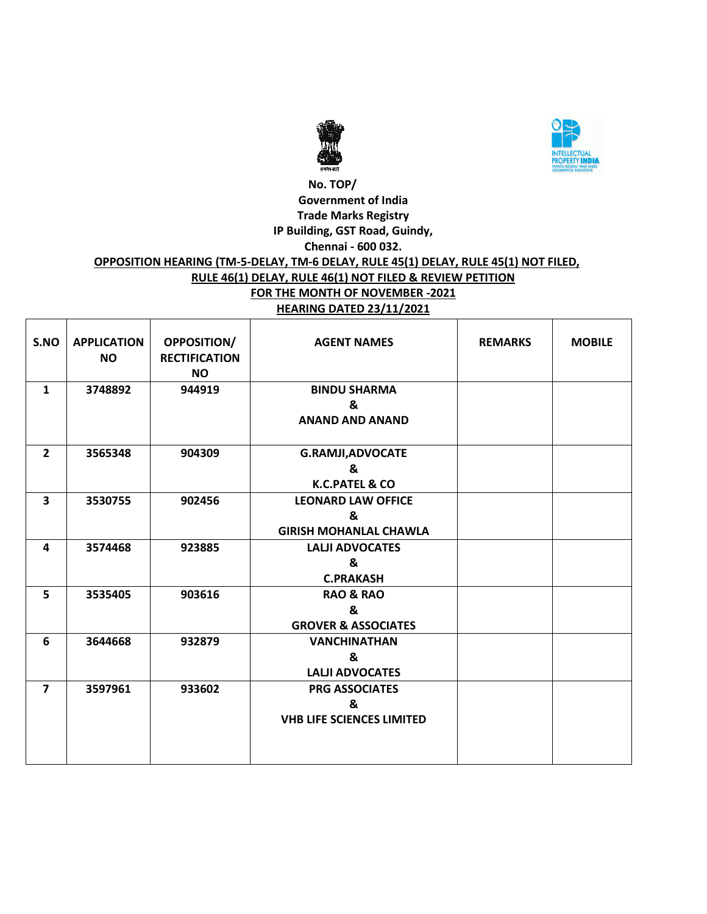



#### **No. TOP/ Government of India Trade Marks Registry IP Building, GST Road, Guindy, Chennai - 600 032. OPPOSITION HEARING (TM-5-DELAY, TM-6 DELAY, RULE 45(1) DELAY, RULE 45(1) NOT FILED, RULE 46(1) DELAY, RULE 46(1) NOT FILED & REVIEW PETITION FOR THE MONTH OF NOVEMBER -2021 HEARING DATED 23/11/2021**

| S.NO           | <b>APPLICATION</b><br><b>NO</b> | <b>OPPOSITION/</b><br><b>RECTIFICATION</b><br><b>NO</b> | <b>AGENT NAMES</b>                                              | <b>REMARKS</b> | <b>MOBILE</b> |
|----------------|---------------------------------|---------------------------------------------------------|-----------------------------------------------------------------|----------------|---------------|
| $\mathbf{1}$   | 3748892                         | 944919                                                  | <b>BINDU SHARMA</b><br>&<br><b>ANAND AND ANAND</b>              |                |               |
| $\overline{2}$ | 3565348                         | 904309                                                  | <b>G.RAMJI, ADVOCATE</b><br>&<br><b>K.C.PATEL &amp; CO</b>      |                |               |
| 3              | 3530755                         | 902456                                                  | <b>LEONARD LAW OFFICE</b><br>&<br><b>GIRISH MOHANLAL CHAWLA</b> |                |               |
| 4              | 3574468                         | 923885                                                  | <b>LALJI ADVOCATES</b><br>&<br><b>C.PRAKASH</b>                 |                |               |
| 5              | 3535405                         | 903616                                                  | <b>RAO &amp; RAO</b><br>&<br><b>GROVER &amp; ASSOCIATES</b>     |                |               |
| 6              | 3644668                         | 932879                                                  | <b>VANCHINATHAN</b><br>&<br><b>LALJI ADVOCATES</b>              |                |               |
| $\overline{7}$ | 3597961                         | 933602                                                  | <b>PRG ASSOCIATES</b><br>&<br><b>VHB LIFE SCIENCES LIMITED</b>  |                |               |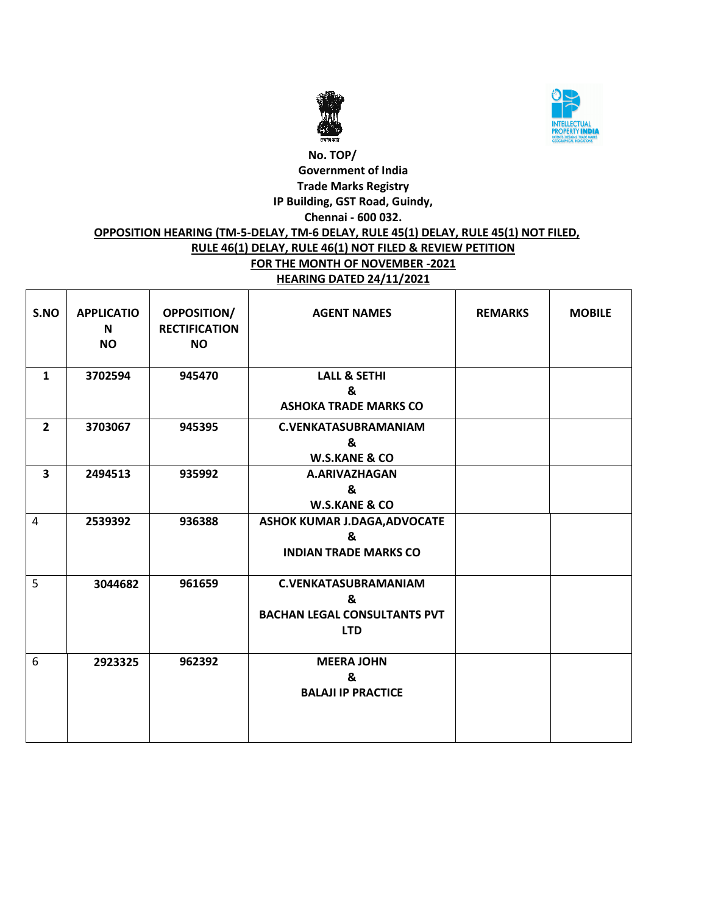



#### **No. TOP/ Government of India Trade Marks Registry IP Building, GST Road, Guindy, Chennai - 600 032. OPPOSITION HEARING (TM-5-DELAY, TM-6 DELAY, RULE 45(1) DELAY, RULE 45(1) NOT FILED, RULE 46(1) DELAY, RULE 46(1) NOT FILED & REVIEW PETITION FOR THE MONTH OF NOVEMBER -2021 HEARING DATED 24/11/2021**

| S.NO                    | <b>APPLICATIO</b><br>N<br><b>NO</b> | <b>OPPOSITION/</b><br><b>RECTIFICATION</b><br><b>NO</b> | <b>AGENT NAMES</b>                                                                    | <b>REMARKS</b> | <b>MOBILE</b> |
|-------------------------|-------------------------------------|---------------------------------------------------------|---------------------------------------------------------------------------------------|----------------|---------------|
| $\mathbf{1}$            | 3702594                             | 945470                                                  | <b>LALL &amp; SETHI</b><br>&<br><b>ASHOKA TRADE MARKS CO</b>                          |                |               |
| $\overline{2}$          | 3703067                             | 945395                                                  | <b>C.VENKATASUBRAMANIAM</b><br>&<br><b>W.S.KANE &amp; CO</b>                          |                |               |
| $\overline{\mathbf{3}}$ | 2494513                             | 935992                                                  | A.ARIVAZHAGAN<br>&<br><b>W.S.KANE &amp; CO</b>                                        |                |               |
| $\overline{4}$          | 2539392                             | 936388                                                  | <b>ASHOK KUMAR J.DAGA, ADVOCATE</b><br>&<br><b>INDIAN TRADE MARKS CO</b>              |                |               |
| 5                       | 3044682                             | 961659                                                  | <b>C.VENKATASUBRAMANIAM</b><br>&<br><b>BACHAN LEGAL CONSULTANTS PVT</b><br><b>LTD</b> |                |               |
| 6                       | 2923325                             | 962392                                                  | <b>MEERA JOHN</b><br>&<br><b>BALAJI IP PRACTICE</b>                                   |                |               |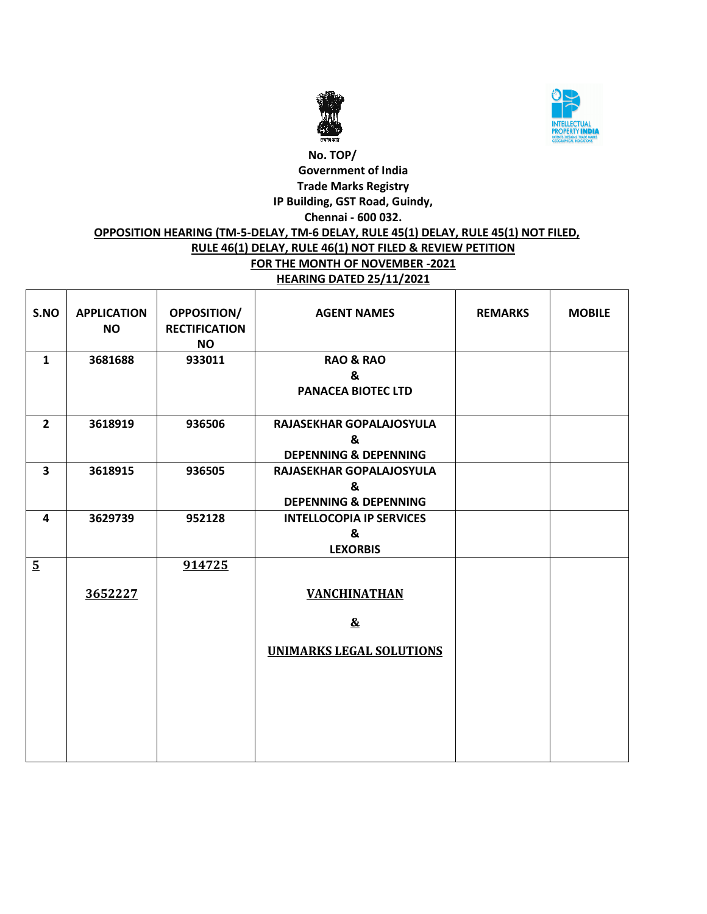



### **No. TOP/ Government of India Trade Marks Registry IP Building, GST Road, Guindy, Chennai - 600 032. OPPOSITION HEARING (TM-5-DELAY, TM-6 DELAY, RULE 45(1) DELAY, RULE 45(1) NOT FILED, RULE 46(1) DELAY, RULE 46(1) NOT FILED & REVIEW PETITION FOR THE MONTH OF NOVEMBER -2021 HEARING DATED 25/11/2021**

| S.NO                    | <b>APPLICATION</b><br><b>NO</b> | <b>OPPOSITION/</b><br><b>RECTIFICATION</b><br><b>NO</b> | <b>AGENT NAMES</b>                                                | <b>REMARKS</b> | <b>MOBILE</b> |
|-------------------------|---------------------------------|---------------------------------------------------------|-------------------------------------------------------------------|----------------|---------------|
| $\mathbf{1}$            | 3681688                         | 933011                                                  | <b>RAO &amp; RAO</b><br>&<br><b>PANACEA BIOTEC LTD</b>            |                |               |
| $\overline{2}$          | 3618919                         | 936506                                                  | RAJASEKHAR GOPALAJOSYULA<br>&<br><b>DEPENNING &amp; DEPENNING</b> |                |               |
| $\overline{\mathbf{3}}$ | 3618915                         | 936505                                                  | RAJASEKHAR GOPALAJOSYULA<br>&<br><b>DEPENNING &amp; DEPENNING</b> |                |               |
| 4                       | 3629739                         | 952128                                                  | <b>INTELLOCOPIA IP SERVICES</b><br>&<br><b>LEXORBIS</b>           |                |               |
| $5\overline{)}$         |                                 | 914725                                                  |                                                                   |                |               |
|                         | 3652227                         |                                                         | <b>VANCHINATHAN</b>                                               |                |               |
|                         |                                 |                                                         | $\mathbf{\underline{\&}}$                                         |                |               |
|                         |                                 |                                                         | <b>UNIMARKS LEGAL SOLUTIONS</b>                                   |                |               |
|                         |                                 |                                                         |                                                                   |                |               |
|                         |                                 |                                                         |                                                                   |                |               |
|                         |                                 |                                                         |                                                                   |                |               |